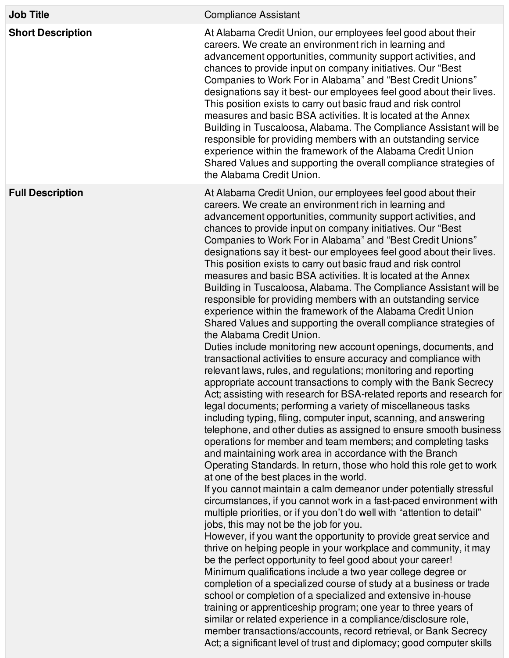| <b>Job Title</b>         | <b>Compliance Assistant</b>                                                                                                                                                                                                                                                                                                                                                                                                                                                                                                                                                                                                                                                                                                                                                                                                                                                                                                                                                                                                                                                                                                                                                                                                                                                                                                                                                                                                                                                                                                                                                                                                                                                                                                                                                                                                                                                                                                                                                                                                                                                                                                                                                                                                                                                                                                                                                                                                                                                                                                                                                                                     |
|--------------------------|-----------------------------------------------------------------------------------------------------------------------------------------------------------------------------------------------------------------------------------------------------------------------------------------------------------------------------------------------------------------------------------------------------------------------------------------------------------------------------------------------------------------------------------------------------------------------------------------------------------------------------------------------------------------------------------------------------------------------------------------------------------------------------------------------------------------------------------------------------------------------------------------------------------------------------------------------------------------------------------------------------------------------------------------------------------------------------------------------------------------------------------------------------------------------------------------------------------------------------------------------------------------------------------------------------------------------------------------------------------------------------------------------------------------------------------------------------------------------------------------------------------------------------------------------------------------------------------------------------------------------------------------------------------------------------------------------------------------------------------------------------------------------------------------------------------------------------------------------------------------------------------------------------------------------------------------------------------------------------------------------------------------------------------------------------------------------------------------------------------------------------------------------------------------------------------------------------------------------------------------------------------------------------------------------------------------------------------------------------------------------------------------------------------------------------------------------------------------------------------------------------------------------------------------------------------------------------------------------------------------|
| <b>Short Description</b> | At Alabama Credit Union, our employees feel good about their<br>careers. We create an environment rich in learning and<br>advancement opportunities, community support activities, and<br>chances to provide input on company initiatives. Our "Best"<br>Companies to Work For in Alabama" and "Best Credit Unions"<br>designations say it best- our employees feel good about their lives.<br>This position exists to carry out basic fraud and risk control<br>measures and basic BSA activities. It is located at the Annex<br>Building in Tuscaloosa, Alabama. The Compliance Assistant will be<br>responsible for providing members with an outstanding service<br>experience within the framework of the Alabama Credit Union<br>Shared Values and supporting the overall compliance strategies of<br>the Alabama Credit Union.                                                                                                                                                                                                                                                                                                                                                                                                                                                                                                                                                                                                                                                                                                                                                                                                                                                                                                                                                                                                                                                                                                                                                                                                                                                                                                                                                                                                                                                                                                                                                                                                                                                                                                                                                                           |
| <b>Full Description</b>  | At Alabama Credit Union, our employees feel good about their<br>careers. We create an environment rich in learning and<br>advancement opportunities, community support activities, and<br>chances to provide input on company initiatives. Our "Best"<br>Companies to Work For in Alabama" and "Best Credit Unions"<br>designations say it best- our employees feel good about their lives.<br>This position exists to carry out basic fraud and risk control<br>measures and basic BSA activities. It is located at the Annex<br>Building in Tuscaloosa, Alabama. The Compliance Assistant will be<br>responsible for providing members with an outstanding service<br>experience within the framework of the Alabama Credit Union<br>Shared Values and supporting the overall compliance strategies of<br>the Alabama Credit Union.<br>Duties include monitoring new account openings, documents, and<br>transactional activities to ensure accuracy and compliance with<br>relevant laws, rules, and regulations; monitoring and reporting<br>appropriate account transactions to comply with the Bank Secrecy<br>Act; assisting with research for BSA-related reports and research for<br>legal documents; performing a variety of miscellaneous tasks<br>including typing, filing, computer input, scanning, and answering<br>telephone, and other duties as assigned to ensure smooth business<br>operations for member and team members; and completing tasks<br>and maintaining work area in accordance with the Branch<br>Operating Standards. In return, those who hold this role get to work<br>at one of the best places in the world.<br>If you cannot maintain a calm demeanor under potentially stressful<br>circumstances, if you cannot work in a fast-paced environment with<br>multiple priorities, or if you don't do well with "attention to detail"<br>jobs, this may not be the job for you.<br>However, if you want the opportunity to provide great service and<br>thrive on helping people in your workplace and community, it may<br>be the perfect opportunity to feel good about your career!<br>Minimum qualifications include a two year college degree or<br>completion of a specialized course of study at a business or trade<br>school or completion of a specialized and extensive in-house<br>training or apprenticeship program; one year to three years of<br>similar or related experience in a compliance/disclosure role,<br>member transactions/accounts, record retrieval, or Bank Secrecy<br>Act; a significant level of trust and diplomacy; good computer skills |